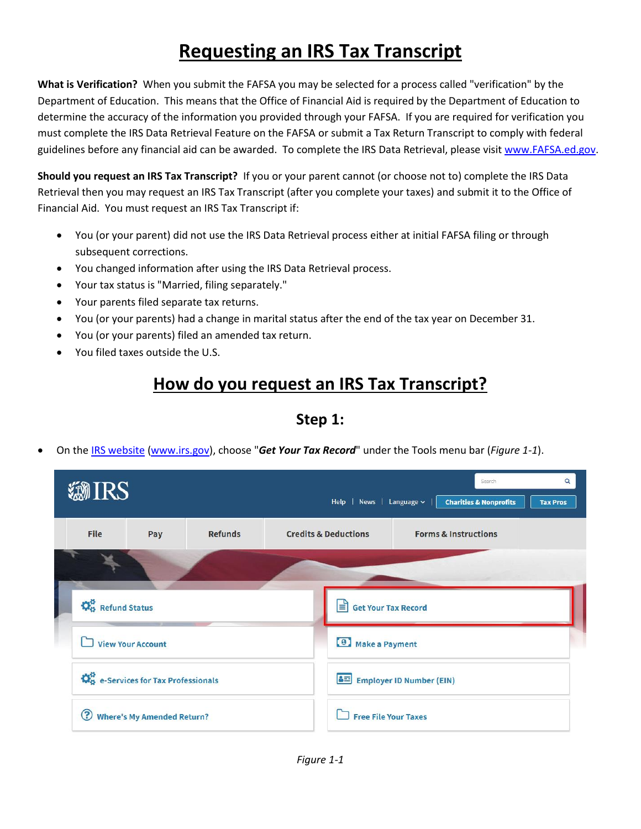# **Requesting an IRS Tax Transcript**

**What is Verification?** When you submit the FAFSA you may be selected for a process called "verification" by the Department of Education. This means that the Office of Financial Aid is required by the Department of Education to determine the accuracy of the information you provided through your FAFSA. If you are required for verification you must complete the IRS Data Retrieval Feature on the FAFSA or submit a Tax Return Transcript to comply with federal guidelines before any financial aid can be awarded. To complete the IRS Data Retrieval, please visit [www.FAFSA.ed.gov.](http://www.fafsa.ed.gov/)

**Should you request an IRS Tax Transcript?** If you or your parent cannot (or choose not to) complete the IRS Data Retrieval then you may request an IRS Tax Transcript (after you complete your taxes) and submit it to the Office of Financial Aid. You must request an IRS Tax Transcript if:

- You (or your parent) did not use the IRS Data Retrieval process either at initial FAFSA filing or through subsequent corrections.
- You changed information after using the IRS Data Retrieval process.
- Your tax status is "Married, filing separately."
- Your parents filed separate tax returns.
- You (or your parents) had a change in marital status after the end of the tax year on December 31.
- You (or your parents) filed an amended tax return.
- You filed taxes outside the U.S.

## **How do you request an IRS Tax Transcript?**

**Step 1:**

On the [IRS website](http://www.irs.gov/) [\(www.irs.gov\)](http://www.irs.gov/), choose "*Get Your Tax Record*" under the Tools menu bar (*Figure 1-1*).

| <b><i>HIRS</i></b>                                          |                                     |                |  | $\alpha$<br>Search<br>Help   News   Language v  <br><b>Charities &amp; Nonprofits</b><br><b>Tax Pros</b> |                                               |                                 |  |  |  |
|-------------------------------------------------------------|-------------------------------------|----------------|--|----------------------------------------------------------------------------------------------------------|-----------------------------------------------|---------------------------------|--|--|--|
| <b>File</b>                                                 | Pay                                 | <b>Refunds</b> |  | <b>Credits &amp; Deductions</b>                                                                          |                                               | <b>Forms &amp; Instructions</b> |  |  |  |
|                                                             |                                     |                |  |                                                                                                          |                                               |                                 |  |  |  |
| $\ddot{\Omega}_{\dot{\alpha}}^{\dot{\alpha}}$ Refund Status |                                     |                |  | 目<br><b>Get Your Tax Record</b>                                                                          |                                               |                                 |  |  |  |
|                                                             | <b>View Your Account</b>            |                |  |                                                                                                          | 4 Make a Payment                              |                                 |  |  |  |
|                                                             | Co e-Services for Tax Professionals |                |  |                                                                                                          | <mark>&amp; 드</mark> Employer ID Number (EIN) |                                 |  |  |  |
| ඹ                                                           | <b>Where's My Amended Return?</b>   |                |  | <b>Free File Your Taxes</b>                                                                              |                                               |                                 |  |  |  |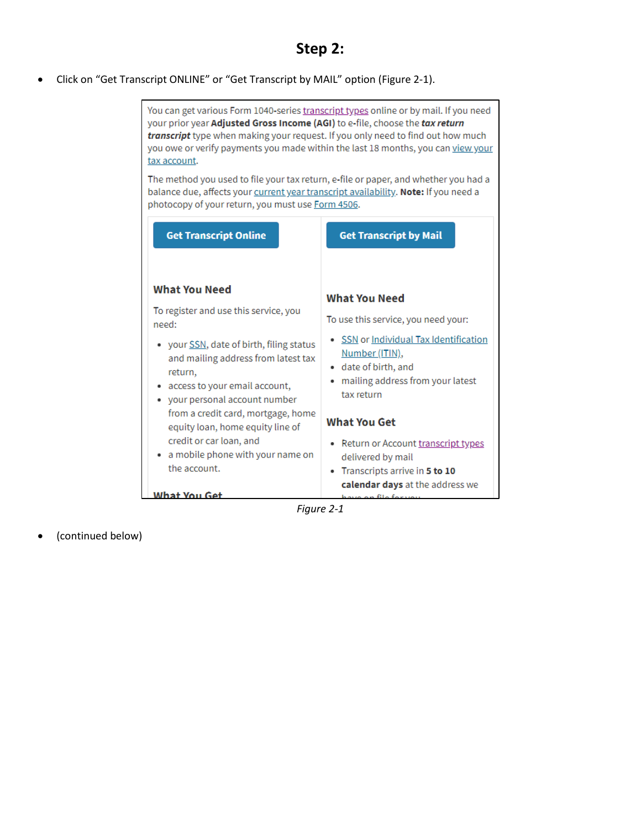#### **Step 2:**

Click on "Get Transcript ONLINE" or "Get Transcript by MAIL" option (Figure 2-1).



*Figure 2-1*

(continued below)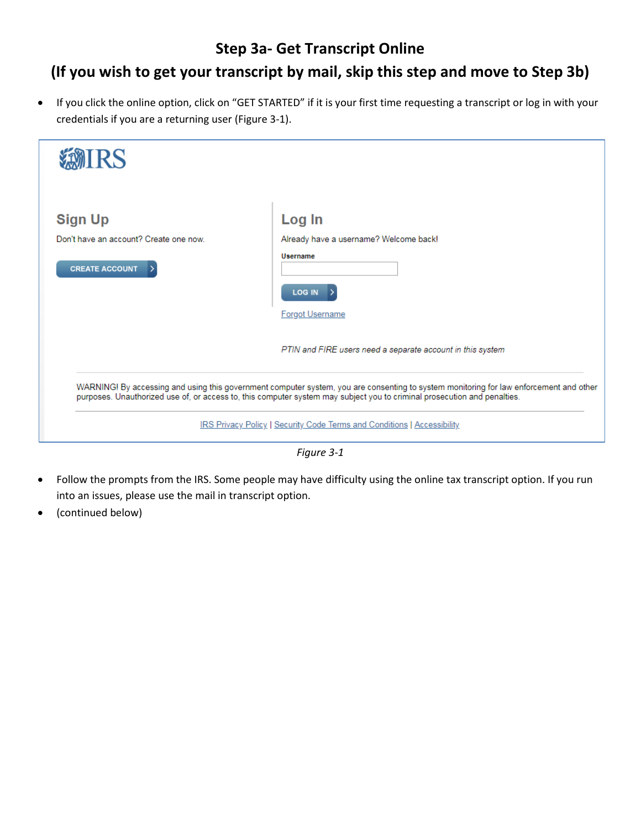#### **Step 3a- Get Transcript Online**

### **(If you wish to get your transcript by mail, skip this step and move to Step 3b)**

 If you click the online option, click on "GET STARTED" if it is your first time requesting a transcript or log in with your credentials if you are a returning user (Figure 3-1).



*Figure 3-1*

- Follow the prompts from the IRS. Some people may have difficulty using the online tax transcript option. If you run into an issues, please use the mail in transcript option.
- (continued below)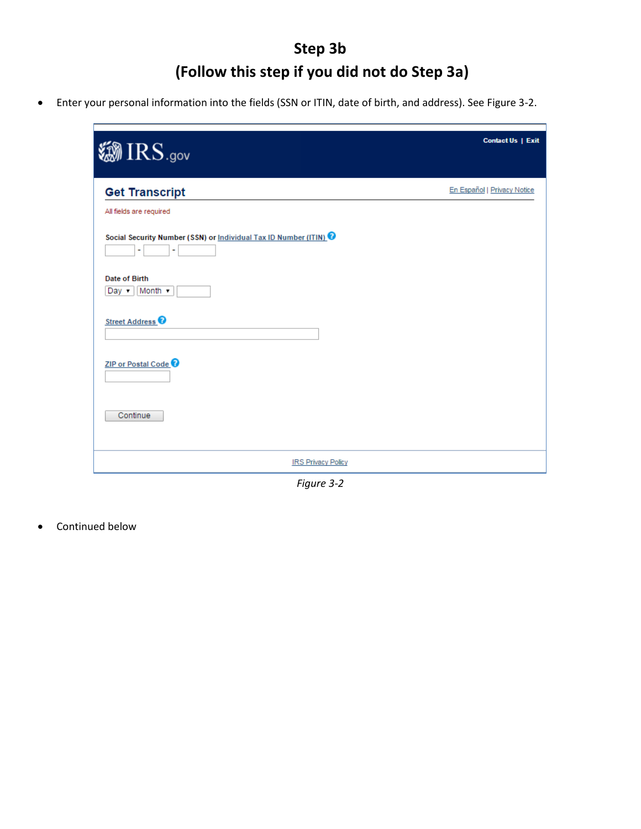## **Step 3b (Follow this step if you did not do Step 3a)**

Enter your personal information into the fields (SSN or ITIN, date of birth, and address). See Figure 3-2.

| <b>@IRS.gov</b>                                                                | <b>Contact Us   Exit</b>    |
|--------------------------------------------------------------------------------|-----------------------------|
| <b>Get Transcript</b>                                                          | En Español   Privacy Notice |
| All fields are required                                                        |                             |
| Social Security Number (SSN) or Individual Tax ID Number (ITIN)<br>۰<br>$\sim$ |                             |
| Date of Birth<br>Day $\mathbf{v}$ Month $\mathbf{v}$                           |                             |
| Street Address <sup>O</sup>                                                    |                             |
| ZIP or Postal Code <sup>O</sup>                                                |                             |
| Continue                                                                       |                             |
| <b>IRS Privacy Policy</b>                                                      |                             |

*Figure 3-2*

Continued below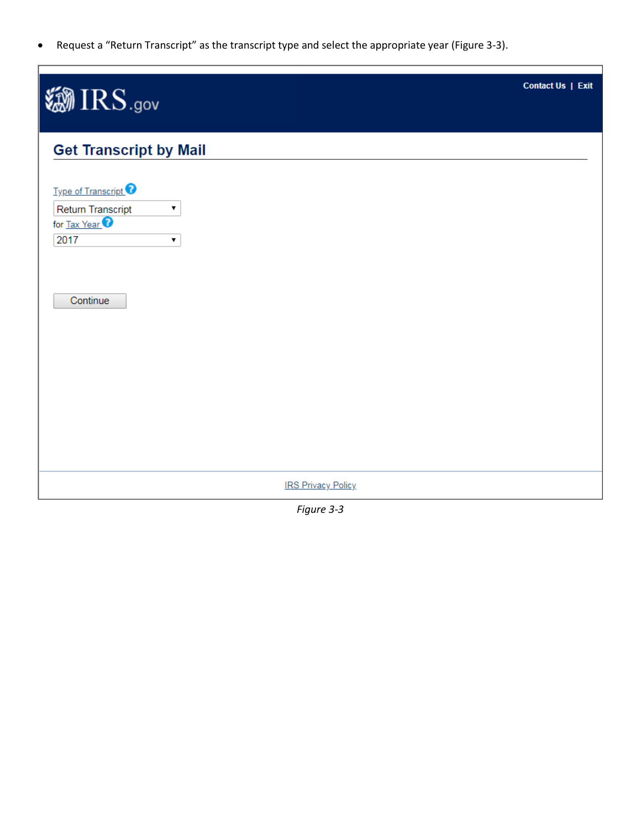Request a "Return Transcript" as the transcript type and select the appropriate year (Figure 3-3).

| <b>@IRS.gov</b>                                                  |                           | Contact Us   Exit |
|------------------------------------------------------------------|---------------------------|-------------------|
| <b>Get Transcript by Mail</b><br>Type of Transcript <sup>2</sup> |                           |                   |
| Return Transcript<br>▼<br>for Tax Year <sup>2</sup><br>2017<br>▼ |                           |                   |
| Continue                                                         |                           |                   |
|                                                                  |                           |                   |
|                                                                  | <b>IRS Privacy Policy</b> |                   |

*Figure 3-3*